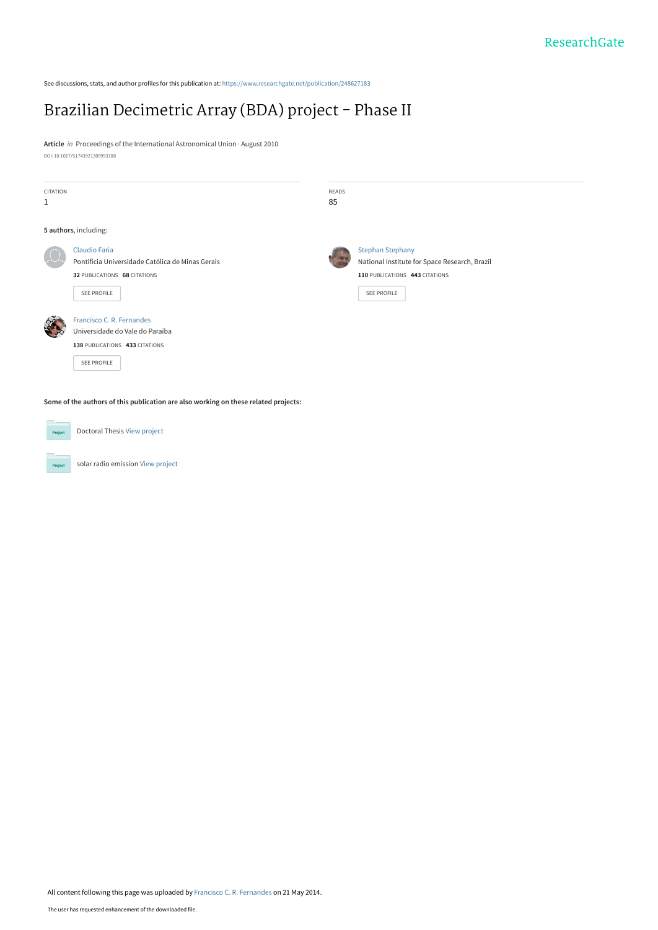See discussions, stats, and author profiles for this publication at: [https://www.researchgate.net/publication/248627183](https://www.researchgate.net/publication/248627183_Brazilian_Decimetric_Array_BDA_project_-_Phase_II?enrichId=rgreq-a3e6c907bb806a187faed64d3bc88ad4-XXX&enrichSource=Y292ZXJQYWdlOzI0ODYyNzE4MztBUzo5OTM5Mjg3OTA3MTIzOUAxNDAwNzA4NTE3NTEy&el=1_x_2&_esc=publicationCoverPdf)

# [Brazilian Decimetric Array \(BDA\) project - Phase II](https://www.researchgate.net/publication/248627183_Brazilian_Decimetric_Array_BDA_project_-_Phase_II?enrichId=rgreq-a3e6c907bb806a187faed64d3bc88ad4-XXX&enrichSource=Y292ZXJQYWdlOzI0ODYyNzE4MztBUzo5OTM5Mjg3OTA3MTIzOUAxNDAwNzA4NTE3NTEy&el=1_x_3&_esc=publicationCoverPdf)

**Article** in Proceedings of the International Astronomical Union · August 2010 DOI: 10.1017/S1743921309993188

| CITATION<br>$1\,$                                                                   |                                                                                                               | <b>READS</b><br>85 |                                                                          |
|-------------------------------------------------------------------------------------|---------------------------------------------------------------------------------------------------------------|--------------------|--------------------------------------------------------------------------|
|                                                                                     | 5 authors, including:                                                                                         |                    |                                                                          |
|                                                                                     | <b>Claudio Faria</b><br>Pontifícia Universidade Católica de Minas Gerais                                      |                    | <b>Stephan Stephany</b><br>National Institute for Space Research, Brazil |
|                                                                                     | 32 PUBLICATIONS 68 CITATIONS<br>SEE PROFILE                                                                   |                    | 110 PUBLICATIONS 443 CITATIONS<br><b>SEE PROFILE</b>                     |
|                                                                                     | Francisco C. R. Fernandes<br>Universidade do Vale do Paraíba<br>138 PUBLICATIONS 433 CITATIONS<br>SEE PROFILE |                    |                                                                          |
| Some of the authors of this publication are also working on these related projects: |                                                                                                               |                    |                                                                          |
| Project                                                                             | Doctoral Thesis View project                                                                                  |                    |                                                                          |

solar radio emission [View project](https://www.researchgate.net/project/solar-radio-emission-2?enrichId=rgreq-a3e6c907bb806a187faed64d3bc88ad4-XXX&enrichSource=Y292ZXJQYWdlOzI0ODYyNzE4MztBUzo5OTM5Mjg3OTA3MTIzOUAxNDAwNzA4NTE3NTEy&el=1_x_9&_esc=publicationCoverPdf)

**Project**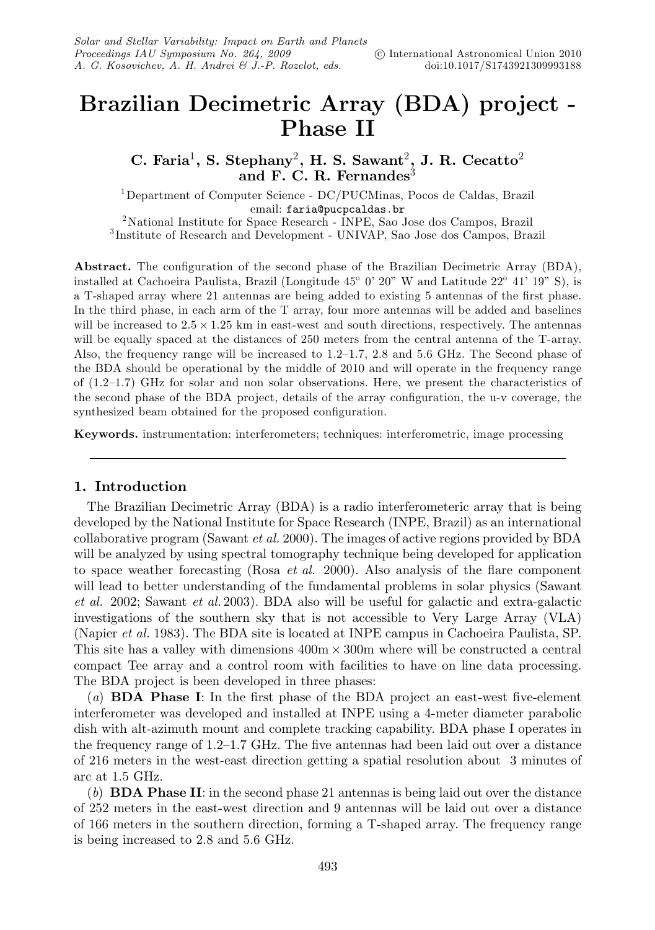## **Brazilian Decimetric Array (BDA) project - Phase II**

**C. Faria**1**, S. Stephany**2**, H. S. Sawant**2**, J. R. Cecatto**<sup>2</sup> and F. C. R. Fernandes<sup>3</sup>

1Department of Computer Science - DC/PUCMinas, Pocos de Caldas, Brazil email: **faria@pucpcaldas.br**<br><sup>2</sup>National Institute for Space Research - INPE, Sao Jose dos Campos, Brazil<br><sup>3</sup>Institute of Research and Development - UNIVAP, Sao Jose dos Campos, Brazil

**Abstract.** The configuration of the second phase of the Brazilian Decimetric Array (BDA), installed at Cachoeira Paulista, Brazil (Longitude  $45^{\circ}$  0' 20" W and Latitude  $22^{\circ}$  41' 19" S), is a T-shaped array where 21 antennas are being added to existing 5 antennas of the first phase. In the third phase, in each arm of the T array, four more antennas will be added and baselines will be increased to  $2.5 \times 1.25$  km in east-west and south directions, respectively. The antennas will be equally spaced at the distances of 250 meters from the central antenna of the T-array. Also, the frequency range will be increased to 1.2–1.7, 2.8 and 5.6 GHz. The Second phase of the BDA should be operational by the middle of 2010 and will operate in the frequency range of (1.2–1.7) GHz for solar and non solar observations. Here, we present the characteristics of the second phase of the BDA project, details of the array configuration, the u-v coverage, the synthesized beam obtained for the proposed configuration.

**Keywords.** instrumentation: interferometers; techniques: interferometric, image processing

#### **1. Introduction**

The Brazilian Decimetric Array (BDA) is a radio interferometeric array that is being developed by the National Institute for Space Research (INPE, Brazil) as an international collaborative program (Sawant et al. 2000). The images of active regions provided by BDA will be analyzed by using spectral tomography technique being developed for application to space weather forecasting (Rosa *et al.* 2000). Also analysis of the flare component will lead to better understanding of the fundamental problems in solar physics (Sawant et al. 2002; Sawant et al. 2003). BDA also will be useful for galactic and extra-galactic investigations of the southern sky that is not accessible to Very Large Array (VLA) (Napier *et al.* 1983). The BDA site is located at INPE campus in Cachoeira Paulista, SP. This site has a valley with dimensions  $400m \times 300m$  where will be constructed a central compact Tee array and a control room with facilities to have on line data processing. The BDA project is been developed in three phases:

(a) **BDA Phase I**: In the first phase of the BDA project an east-west five-element interferometer was developed and installed at INPE using a 4-meter diameter parabolic dish with alt-azimuth mount and complete tracking capability. BDA phase I operates in the frequency range of 1.2–1.7 GHz. The five antennas had been laid out over a distance of 216 meters in the west-east direction getting a spatial resolution about 3 minutes of arc at 1.5 GHz.

(b) **BDA Phase II**: in the second phase 21 antennas is being laid out over the distance of 252 meters in the east-west direction and 9 antennas will be laid out over a distance of 166 meters in the southern direction, forming a T-shaped array. The frequency range is being increased to 2.8 and 5.6 GHz.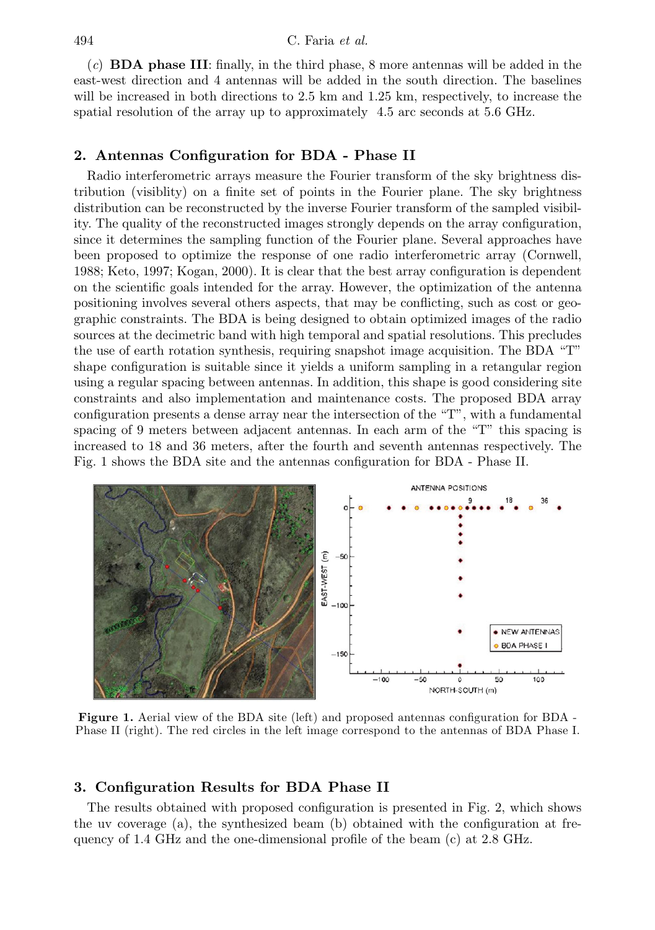(c) **BDA phase III**: finally, in the third phase, 8 more antennas will be added in the east-west direction and 4 antennas will be added in the south direction. The baselines will be increased in both directions to 2.5 km and 1.25 km, respectively, to increase the spatial resolution of the array up to approximately 4.5 arc seconds at 5.6 GHz.

#### **2. Antennas Configuration for BDA - Phase II**

Radio interferometric arrays measure the Fourier transform of the sky brightness distribution (visiblity) on a finite set of points in the Fourier plane. The sky brightness distribution can be reconstructed by the inverse Fourier transform of the sampled visibility. The quality of the reconstructed images strongly depends on the array configuration, since it determines the sampling function of the Fourier plane. Several approaches have been proposed to optimize the response of one radio interferometric array (Cornwell, 1988; Keto, 1997; Kogan, 2000). It is clear that the best array configuration is dependent on the scientific goals intended for the array. However, the optimization of the antenna positioning involves several others aspects, that may be conflicting, such as cost or geographic constraints. The BDA is being designed to obtain optimized images of the radio sources at the decimetric band with high temporal and spatial resolutions. This precludes the use of earth rotation synthesis, requiring snapshot image acquisition. The BDA "T" shape configuration is suitable since it yields a uniform sampling in a retangular region using a regular spacing between antennas. In addition, this shape is good considering site constraints and also implementation and maintenance costs. The proposed BDA array configuration presents a dense array near the intersection of the "T", with a fundamental spacing of 9 meters between adjacent antennas. In each arm of the "T" this spacing is increased to 18 and 36 meters, after the fourth and seventh antennas respectively. The Fig. 1 shows the BDA site and the antennas configuration for BDA - Phase II.



**Figure 1.** Aerial view of the BDA site (left) and proposed antennas configuration for BDA -Phase II (right). The red circles in the left image correspond to the antennas of BDA Phase I.

#### **3. Configuration Results for BDA Phase II**

The results obtained with proposed configuration is presented in Fig. 2, which shows the uv coverage (a), the synthesized beam (b) obtained with the configuration at frequency of 1.4 GHz and the one-dimensional profile of the beam (c) at 2.8 GHz.